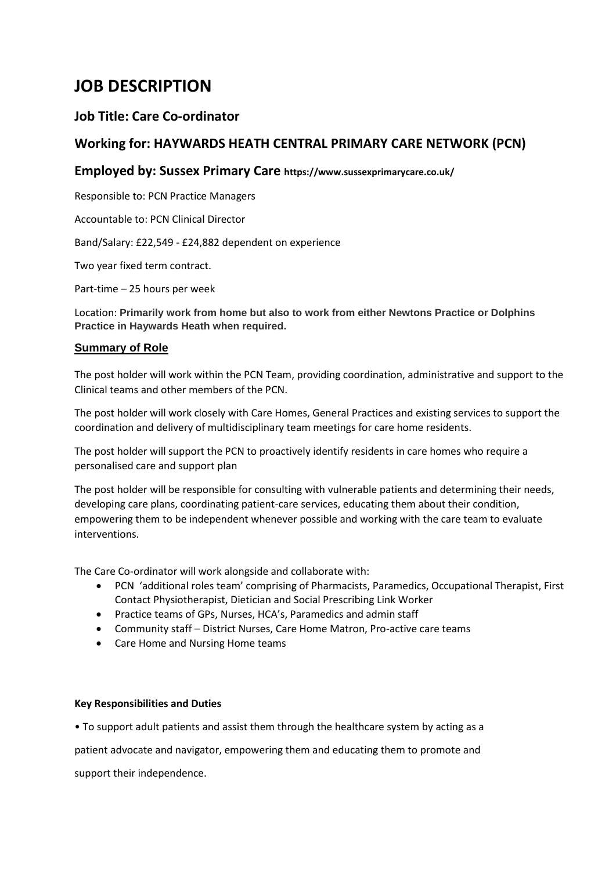# **JOB DESCRIPTION**

# **Job Title: Care Co-ordinator**

# **Working for: HAYWARDS HEATH CENTRAL PRIMARY CARE NETWORK (PCN)**

## **Employed by: Sussex Primary Care https://www.sussexprimarycare.co.uk/**

Responsible to: PCN Practice Managers

Accountable to: PCN Clinical Director

Band/Salary: £22,549 - £24,882 dependent on experience

Two year fixed term contract.

Part-time – 25 hours per week

Location: **Primarily work from home but also to work from either Newtons Practice or Dolphins Practice in Haywards Heath when required.**

### **Summary of Role**

The post holder will work within the PCN Team, providing coordination, administrative and support to the Clinical teams and other members of the PCN.

The post holder will work closely with Care Homes, General Practices and existing services to support the coordination and delivery of multidisciplinary team meetings for care home residents.

The post holder will support the PCN to proactively identify residents in care homes who require a personalised care and support plan

The post holder will be responsible for consulting with vulnerable patients and determining their needs, developing care plans, coordinating patient-care services, educating them about their condition, empowering them to be independent whenever possible and working with the care team to evaluate interventions.

The Care Co-ordinator will work alongside and collaborate with:

- PCN 'additional roles team' comprising of Pharmacists, Paramedics, Occupational Therapist, First Contact Physiotherapist, Dietician and Social Prescribing Link Worker
- Practice teams of GPs, Nurses, HCA's, Paramedics and admin staff
- Community staff District Nurses, Care Home Matron, Pro-active care teams
- Care Home and Nursing Home teams

### **Key Responsibilities and Duties**

• To support adult patients and assist them through the healthcare system by acting as a

patient advocate and navigator, empowering them and educating them to promote and

support their independence.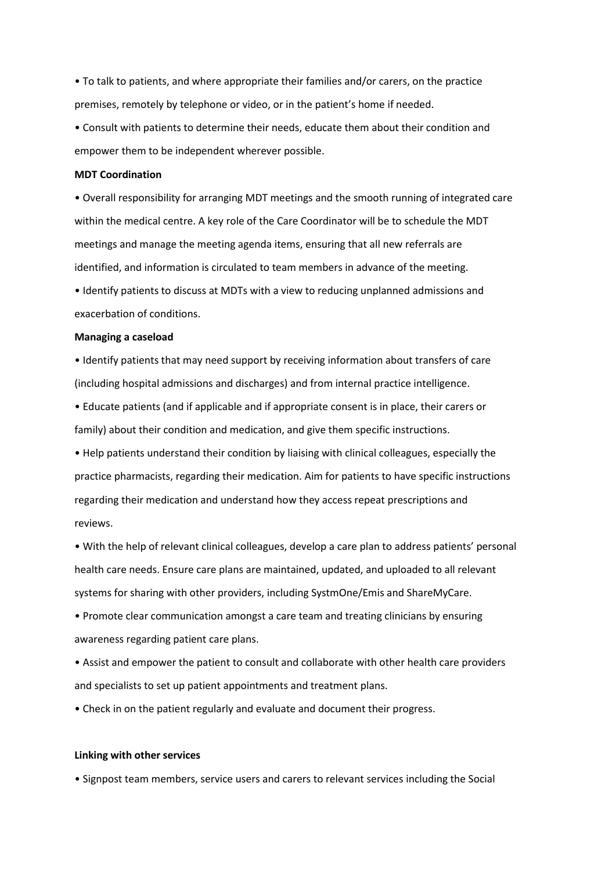• To talk to patients, and where appropriate their families and/or carers, on the practice premises, remotely by telephone or video, or in the patient's home if needed.

• Consult with patients to determine their needs, educate them about their condition and empower them to be independent wherever possible.

#### **MDT Coordination**

• Overall responsibility for arranging MDT meetings and the smooth running of integrated care within the medical centre. A key role of the Care Coordinator will be to schedule the MDT meetings and manage the meeting agenda items, ensuring that all new referrals are identified, and information is circulated to team members in advance of the meeting.

• Identify patients to discuss at MDTs with a view to reducing unplanned admissions and exacerbation of conditions.

#### **Managing a caseload**

• Identify patients that may need support by receiving information about transfers of care (including hospital admissions and discharges) and from internal practice intelligence.

• Educate patients (and if applicable and if appropriate consent is in place, their carers or family) about their condition and medication, and give them specific instructions.

• Help patients understand their condition by liaising with clinical colleagues, especially the practice pharmacists, regarding their medication. Aim for patients to have specific instructions regarding their medication and understand how they access repeat prescriptions and reviews.

• With the help of relevant clinical colleagues, develop a care plan to address patients' personal health care needs. Ensure care plans are maintained, updated, and uploaded to all relevant systems for sharing with other providers, including SystmOne/Emis and ShareMyCare.

• Promote clear communication amongst a care team and treating clinicians by ensuring awareness regarding patient care plans.

• Assist and empower the patient to consult and collaborate with other health care providers and specialists to set up patient appointments and treatment plans.

• Check in on the patient regularly and evaluate and document their progress.

#### **Linking with other services**

• Signpost team members, service users and carers to relevant services including the Social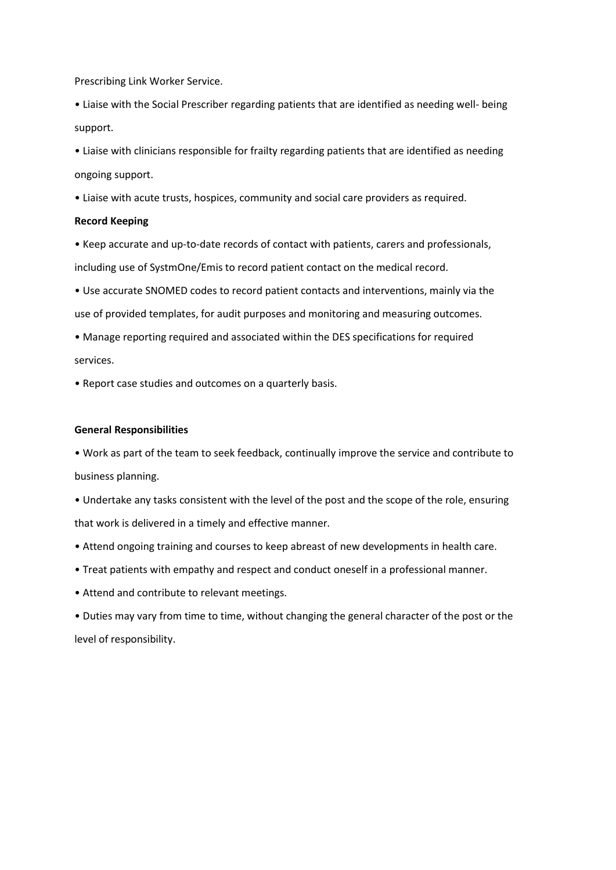Prescribing Link Worker Service.

• Liaise with the Social Prescriber regarding patients that are identified as needing well- being support.

• Liaise with clinicians responsible for frailty regarding patients that are identified as needing ongoing support.

• Liaise with acute trusts, hospices, community and social care providers as required.

### **Record Keeping**

• Keep accurate and up-to-date records of contact with patients, carers and professionals, including use of SystmOne/Emis to record patient contact on the medical record.

• Use accurate SNOMED codes to record patient contacts and interventions, mainly via the use of provided templates, for audit purposes and monitoring and measuring outcomes.

• Manage reporting required and associated within the DES specifications for required services.

• Report case studies and outcomes on a quarterly basis.

#### **General Responsibilities**

• Work as part of the team to seek feedback, continually improve the service and contribute to business planning.

• Undertake any tasks consistent with the level of the post and the scope of the role, ensuring that work is delivered in a timely and effective manner.

- Attend ongoing training and courses to keep abreast of new developments in health care.
- Treat patients with empathy and respect and conduct oneself in a professional manner.
- Attend and contribute to relevant meetings.

• Duties may vary from time to time, without changing the general character of the post or the level of responsibility.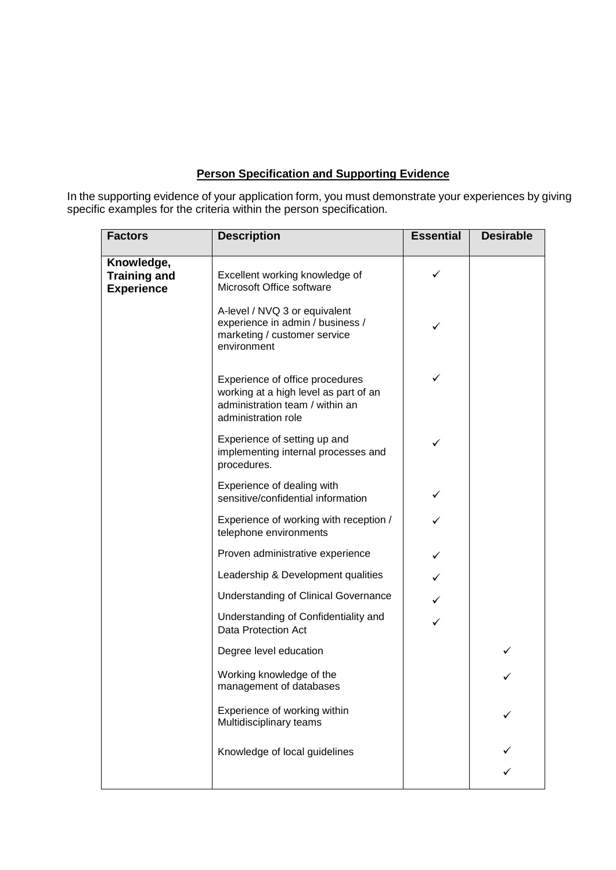# **Person Specification and Supporting Evidence**

In the supporting evidence of your application form, you must demonstrate your experiences by giving specific examples for the criteria within the person specification.

| <b>Factors</b>                                         | <b>Description</b>                                                                                                                 | <b>Essential</b> | <b>Desirable</b> |
|--------------------------------------------------------|------------------------------------------------------------------------------------------------------------------------------------|------------------|------------------|
| Knowledge,<br><b>Training and</b><br><b>Experience</b> | Excellent working knowledge of<br>Microsoft Office software                                                                        | ✓                |                  |
|                                                        | A-level / NVQ 3 or equivalent<br>experience in admin / business /<br>marketing / customer service<br>environment                   | ✓                |                  |
|                                                        | Experience of office procedures<br>working at a high level as part of an<br>administration team / within an<br>administration role | ✓                |                  |
|                                                        | Experience of setting up and<br>implementing internal processes and<br>procedures.                                                 | ✓                |                  |
|                                                        | Experience of dealing with<br>sensitive/confidential information                                                                   | ✓                |                  |
|                                                        | Experience of working with reception /<br>telephone environments                                                                   |                  |                  |
|                                                        | Proven administrative experience                                                                                                   | ✓                |                  |
|                                                        | Leadership & Development qualities                                                                                                 |                  |                  |
|                                                        | <b>Understanding of Clinical Governance</b>                                                                                        | ✓                |                  |
|                                                        | Understanding of Confidentiality and<br>Data Protection Act                                                                        | ✓                |                  |
|                                                        | Degree level education                                                                                                             |                  | ✓                |
|                                                        | Working knowledge of the<br>management of databases                                                                                |                  |                  |
|                                                        | Experience of working within<br>Multidisciplinary teams                                                                            |                  |                  |
|                                                        | Knowledge of local guidelines                                                                                                      |                  |                  |
|                                                        |                                                                                                                                    |                  |                  |